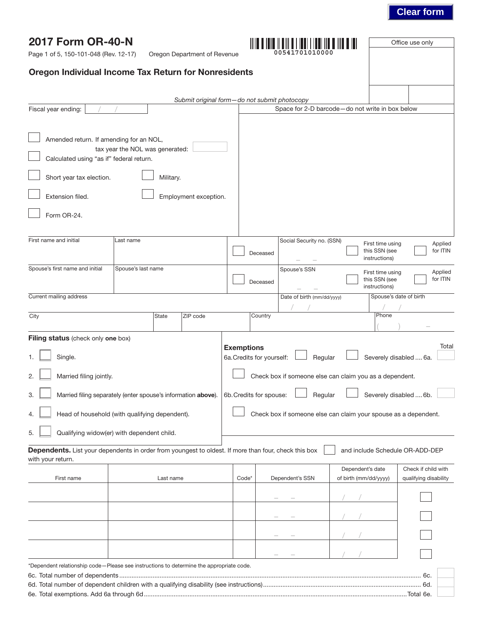# **Clear form**

| 2017 Form OR-40-N<br>Page 1 of 5, 150-101-048 (Rev. 12-17)                          | Oregon Department of Revenue                                                                         |                   |                                                                 |                                                    | Office use only                              |
|-------------------------------------------------------------------------------------|------------------------------------------------------------------------------------------------------|-------------------|-----------------------------------------------------------------|----------------------------------------------------|----------------------------------------------|
|                                                                                     | <b>Oregon Individual Income Tax Return for Nonresidents</b>                                          |                   |                                                                 |                                                    |                                              |
|                                                                                     |                                                                                                      |                   |                                                                 |                                                    |                                              |
| Fiscal year ending:                                                                 |                                                                                                      |                   | Submit original form-do not submit photocopy                    | Space for 2-D barcode-do not write in box below    |                                              |
|                                                                                     |                                                                                                      |                   |                                                                 |                                                    |                                              |
| Amended return. If amending for an NOL,<br>Calculated using "as if" federal return. | tax year the NOL was generated:                                                                      |                   |                                                                 |                                                    |                                              |
| Short year tax election.                                                            | Military.                                                                                            |                   |                                                                 |                                                    |                                              |
| Extension filed.                                                                    | Employment exception.                                                                                |                   |                                                                 |                                                    |                                              |
| Form OR-24.                                                                         |                                                                                                      |                   |                                                                 |                                                    |                                              |
| First name and initial                                                              | Last name                                                                                            |                   | Social Security no. (SSN)<br>Deceased                           | First time using<br>this SSN (see<br>instructions) | Applied<br>for ITIN                          |
| Spouse's first name and initial                                                     | Spouse's last name                                                                                   |                   | Spouse's SSN<br>Deceased                                        | First time using<br>this SSN (see<br>instructions) | Applied<br>for ITIN                          |
| Current mailing address                                                             |                                                                                                      |                   | Date of birth (mm/dd/yyyy)                                      |                                                    | Spouse's date of birth                       |
| City                                                                                | ZIP code<br>State                                                                                    |                   | Country                                                         | Phone                                              |                                              |
| <b>Filing status</b> (check only one box)                                           |                                                                                                      | <b>Exemptions</b> |                                                                 |                                                    | Total                                        |
| Single.                                                                             |                                                                                                      |                   | 6a. Credits for yourself:<br>Regular                            |                                                    | Severely disabled  6a.                       |
| 2.<br>Married filing jointly.                                                       |                                                                                                      |                   | Check box if someone else can claim you as a dependent.         |                                                    |                                              |
| 3.                                                                                  | Married filing separately (enter spouse's information above).                                        |                   | Regular<br>6b. Credits for spouse:                              |                                                    | Severely disabled  6b.                       |
| 4.                                                                                  | Head of household (with qualifying dependent).                                                       |                   | Check box if someone else can claim your spouse as a dependent. |                                                    |                                              |
| 5.                                                                                  | Qualifying widow(er) with dependent child.                                                           |                   |                                                                 |                                                    |                                              |
| with your return.                                                                   | Dependents. List your dependents in order from youngest to oldest. If more than four, check this box |                   |                                                                 | and include Schedule OR-ADD-DEP                    |                                              |
| First name                                                                          | Last name                                                                                            | Code*             | Dependent's SSN                                                 | Dependent's date<br>of birth (mm/dd/yyyy)          | Check if child with<br>qualifying disability |
|                                                                                     |                                                                                                      |                   |                                                                 |                                                    |                                              |
|                                                                                     |                                                                                                      |                   |                                                                 |                                                    |                                              |
|                                                                                     |                                                                                                      |                   |                                                                 |                                                    |                                              |
|                                                                                     |                                                                                                      |                   |                                                                 |                                                    |                                              |
|                                                                                     | *Dependent relationship code-Please see instructions to determine the appropriate code.              |                   |                                                                 |                                                    |                                              |
|                                                                                     |                                                                                                      |                   |                                                                 |                                                    |                                              |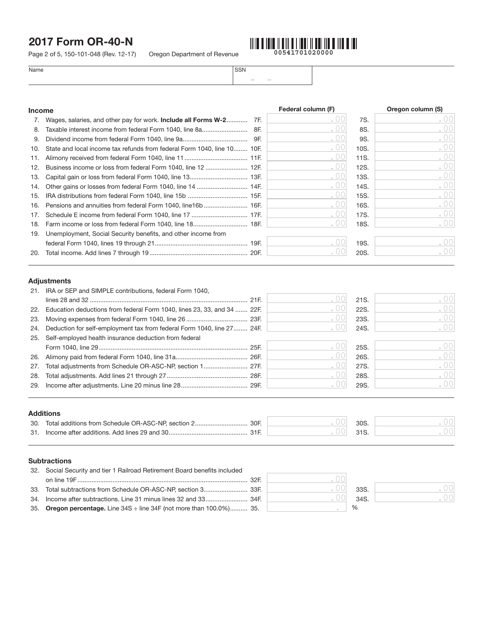Page 2 of 5, 150-101-048 (Rev. 12-17) Oregon Department of Revenue



| Name | <b>SSN</b> |
|------|------------|
|------|------------|

| <b>Income</b> |                                                                           | Federal column (F) |      | Oregon column (S) |
|---------------|---------------------------------------------------------------------------|--------------------|------|-------------------|
|               | Wages, salaries, and other pay for work. <b>Include all Forms W-2</b> 7F. |                    | 7S.  |                   |
| 8.            | Taxable interest income from federal Form 1040, line 8a<br>8F.            | .00                | 8S.  |                   |
| 9.            | 9F.                                                                       |                    | 9S.  |                   |
| 10.           | State and local income tax refunds from federal Form 1040, line 10 10F.   | .00                | 10S. |                   |
| 11.           |                                                                           | .00                | 11S. |                   |
| 12.           |                                                                           | .00                | 12S. |                   |
| 13.           |                                                                           | .00                | 13S. |                   |
| 14.           |                                                                           | .00                | 14S. |                   |
| 15.           |                                                                           | .00                | 15S. |                   |
| 16.           |                                                                           | .00                | 16S. |                   |
| 17.           |                                                                           |                    | 17S. |                   |
| 18.           |                                                                           |                    | 18S. |                   |
| 19.           | Unemployment, Social Security benefits, and other income from             |                    |      |                   |
|               |                                                                           |                    | 19S. |                   |
| 20.           |                                                                           |                    | 20S. |                   |

– –

### Adjustments

|     | 21. IRA or SEP and SIMPLE contributions, federal Form 1040,             |      |      |      |
|-----|-------------------------------------------------------------------------|------|------|------|
|     |                                                                         |      | 21S. | .00  |
| 22. | Education deductions from federal Form 1040, lines 23, 33, and 34  22F. | . 00 | 22S. | .00  |
| 23. |                                                                         | . UU | 23S. | .00  |
| 24. | Deduction for self-employment tax from federal Form 1040, line 27 24F.  |      | 24S. | .001 |
| 25. | Self-employed health insurance deduction from federal                   |      |      |      |
|     |                                                                         |      | 25S. | .00  |
| 26. |                                                                         | . 00 | 26S. | .00  |
| 27. |                                                                         | .00  | 27S. | .00  |
| 28. |                                                                         |      | 28S. | .00  |
| 29. |                                                                         |      | 29S. | . 00 |
|     |                                                                         |      |      |      |
|     |                                                                         |      |      |      |
|     | <b>Additions</b>                                                        |      |      |      |

| - --- --- -- - - - - - |                                                        |                 |  |
|------------------------|--------------------------------------------------------|-----------------|--|
|                        | 30. Total additions from Schedule OR-ASC-NP, section 2 | 30 <sub>S</sub> |  |
|                        | 31. Income after additions. Add lines 29 and 30        | 21C             |  |

### **Subtractions**

|     | 32. Social Security and tier 1 Railroad Retirement Board benefits included            |                                                     |               |
|-----|---------------------------------------------------------------------------------------|-----------------------------------------------------|---------------|
|     |                                                                                       | $\left( \begin{array}{c} \cdot \end{array} \right)$ |               |
| 33. |                                                                                       |                                                     | 33S.          |
|     |                                                                                       |                                                     | 34S.          |
|     | 35. Oregon percentage. Line $34S \div \text{line} 34F$ (not more than $100.0\%$ ) 35. |                                                     | $\frac{0}{0}$ |
|     |                                                                                       |                                                     |               |

| 33S. |  |
|------|--|
| 34S. |  |
|      |  |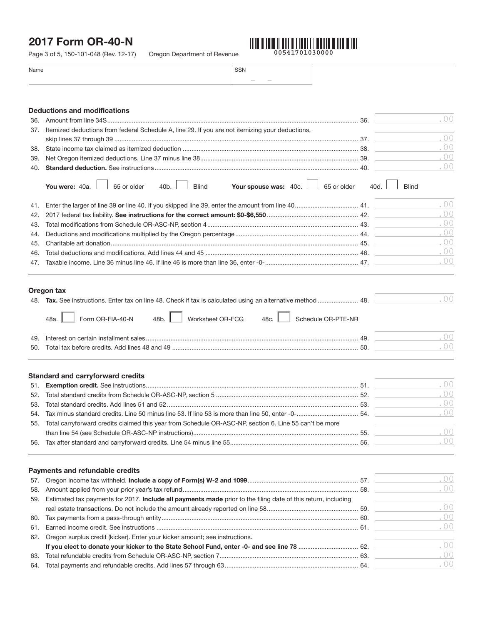Page 3 of 5, 150-101-048 (Rev. 12-17) Oregon Department of Revenue



.00

| Name                                | <b>SSN</b> |    |
|-------------------------------------|------------|----|
|                                     |            |    |
|                                     |            |    |
|                                     |            |    |
| <b>Deductions and modifications</b> |            |    |
| 36. Amount from line 34S            |            | 36 |

| 37. | Itemized deductions from federal Schedule A, line 29. If you are not itemizing your deductions,                                                                                                                 |  |
|-----|-----------------------------------------------------------------------------------------------------------------------------------------------------------------------------------------------------------------|--|
|     |                                                                                                                                                                                                                 |  |
|     |                                                                                                                                                                                                                 |  |
|     | .001                                                                                                                                                                                                            |  |
|     |                                                                                                                                                                                                                 |  |
|     | <b>Your spouse was:</b> $40c.$ $\Box$ 65 or older $40d.$ $\Box$ Blind<br>You were: $40a.$ $\begin{array}{ c c c c c } \hline \end{array}$ 65 or older $\begin{array}{ c c c c c } \hline \end{array}$ and Blind |  |
|     | <b>Contract Contract Contract Contract</b>                                                                                                                                                                      |  |

|  | $\left( \begin{array}{c} 0 \\ 1 \end{array} \right)$ |
|--|------------------------------------------------------|
|  | $\left( \begin{array}{c} 0 \end{array} \right)$      |
|  | .00                                                  |
|  | .00                                                  |
|  | $\bigcirc$ 00                                        |
|  | $\bigcirc$ 00                                        |

### Oregon tax

|     | 48. Tax. See instructions. Enter tax on line 48. Check if tax is calculated using an alternative method  48.      |  |
|-----|-------------------------------------------------------------------------------------------------------------------|--|
|     | Worksheet OR-FCG<br>$\sqrt{\frac{1}{2}$ Form OR-FIA-40-N 48b.<br>Schedule OR-PTE-NR<br>48a. $\parallel$<br>48c. I |  |
|     | 49                                                                                                                |  |
| 50. | 50                                                                                                                |  |

#### Standard and carryforward credits

|                                                                                                            | . OOI |
|------------------------------------------------------------------------------------------------------------|-------|
|                                                                                                            | .001  |
|                                                                                                            | .001  |
|                                                                                                            | .001  |
| 55. Total carryforward credits claimed this year from Schedule OR-ASC-NP, section 6. Line 55 can't be more |       |
|                                                                                                            | .001  |
|                                                                                                            | .001  |

|     | <b>Payments and refundable credits</b>                                                                            |      |
|-----|-------------------------------------------------------------------------------------------------------------------|------|
|     |                                                                                                                   | .001 |
|     |                                                                                                                   | .001 |
|     | 59. Estimated tax payments for 2017. Include all payments made prior to the filing date of this return, including |      |
|     |                                                                                                                   | .001 |
|     |                                                                                                                   | .001 |
|     |                                                                                                                   | .001 |
|     | 62. Oregon surplus credit (kicker). Enter your kicker amount; see instructions.                                   |      |
|     |                                                                                                                   | .001 |
|     |                                                                                                                   | .001 |
| 64. |                                                                                                                   | .001 |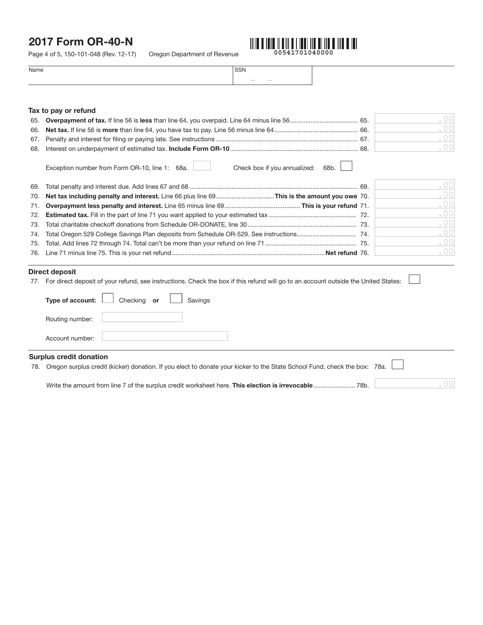Page 4 of 5, 150-101-048 (Rev. 12-17) Oregon Department of Revenue



.00

| Name | $\sim$ $\sim$          |  |
|------|------------------------|--|
|      | $\sim$<br><b>STATE</b> |  |

#### Tax to pay or refund

|     |                                                                                            | . 001 |
|-----|--------------------------------------------------------------------------------------------|-------|
|     |                                                                                            | .001  |
|     |                                                                                            | .00   |
|     |                                                                                            | .00   |
|     | Check box if you annualized: $68b.$<br>Exception number from Form OR-10, line 1: 68a.      |       |
|     |                                                                                            | .00   |
| 70. | Net tax including penalty and interest. Line 66 plus line 69This is the amount you owe 70. | .00   |
| 71. |                                                                                            | .001  |

|  | $\left( \begin{array}{c} 0 \end{array} \right)$ |
|--|-------------------------------------------------|
|  | $\Gamma$ ()()                                   |
|  | .00                                             |
|  | . 00                                            |
|  | $\Gamma$ ()()                                   |
|  |                                                 |

#### Direct deposit

|     | DII CUL UCUUSIL                                                                                                                    |
|-----|------------------------------------------------------------------------------------------------------------------------------------|
| 77. | For direct deposit of your refund, see instructions. Check the box if this refund will go to an account outside the United States: |
|     | <b>Type of account:</b> $\Box$ Checking or $\Box$ Savings                                                                          |
|     | Routing number:                                                                                                                    |
|     | Account number:                                                                                                                    |
|     | ______                                                                                                                             |

### Surplus credit donation

78. Oregon surplus credit (kicker) donation. If you elect to donate your kicker to the State School Fund, check the box: 78a.

Write the amount from line 7 of the surplus credit worksheet here. This election is irrevocable........................ 78b.